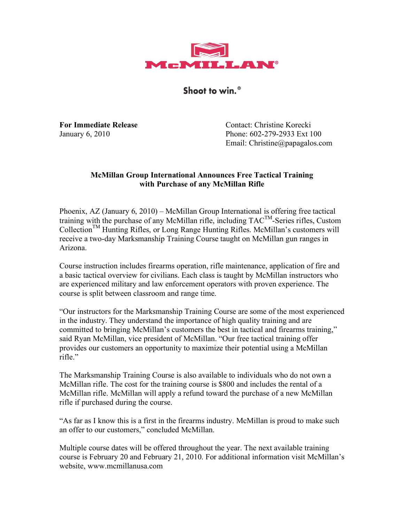

Shoot to win.<sup>®</sup>

**For Immediate Release** Contact: Christine Korecki January 6, 2010 Phone: 602-279-2933 Ext 100 Email: Christine@papagalos.com

## **McMillan Group International Announces Free Tactical Training with Purchase of any McMillan Rifle**

Phoenix, AZ (January 6, 2010) – McMillan Group International is offering free tactical training with the purchase of any McMillan rifle, including  $TAC^{TM}$ -Series rifles, Custom CollectionTM Hunting Rifles, or Long Range Hunting Rifles. McMillan's customers will receive a two-day Marksmanship Training Course taught on McMillan gun ranges in Arizona.

Course instruction includes firearms operation, rifle maintenance, application of fire and a basic tactical overview for civilians. Each class is taught by McMillan instructors who are experienced military and law enforcement operators with proven experience. The course is split between classroom and range time.

"Our instructors for the Marksmanship Training Course are some of the most experienced in the industry. They understand the importance of high quality training and are committed to bringing McMillan's customers the best in tactical and firearms training," said Ryan McMillan, vice president of McMillan. "Our free tactical training offer provides our customers an opportunity to maximize their potential using a McMillan rifle<sup>"</sup>

The Marksmanship Training Course is also available to individuals who do not own a McMillan rifle. The cost for the training course is \$800 and includes the rental of a McMillan rifle. McMillan will apply a refund toward the purchase of a new McMillan rifle if purchased during the course.

"As far as I know this is a first in the firearms industry. McMillan is proud to make such an offer to our customers," concluded McMillan.

Multiple course dates will be offered throughout the year. The next available training course is February 20 and February 21, 2010. For additional information visit McMillan's website, www.mcmillanusa.com